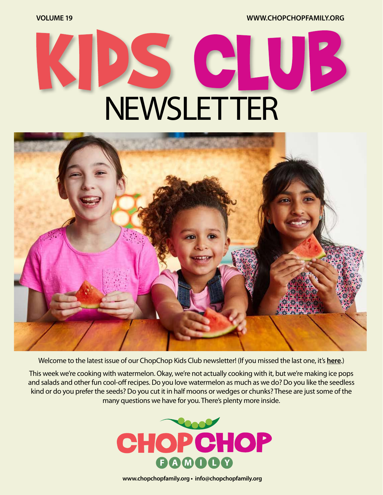**VOLUME 19 [WWW.CHOPCHOPFAMILY.ORG](https://www.chopchopfamily.org)**

## SCI QV I **NEWSLETTER**



Welcome to the latest issue of our ChopChop Kids Club newsletter! [\(If you missed the last one, it's](https://mcusercontent.com/b1ea30ff4c07c4e770929e7f7/files/3a8c71ac-0f73-4bc3-ace1-6ee88ecddc31/ccnewsletter18workingv04.pdf) **here**.)

This week we're cooking with watermelon. Okay, we're not actually cooking with it, but we're making ice pops and salads and other fun cool-off recipes. Do you love watermelon as much as we do? Do you like the seedless kind or do you prefer the seeds? Do you cut it in half moons or wedges or chunks? These are just some of the many questions we have for you. There's plenty more inside.



**[www.chopchopfamily.org](https://www.chopchopfamily.org) • [info@chopchopfamily.org](mailto:info@chopchopfamily.org)**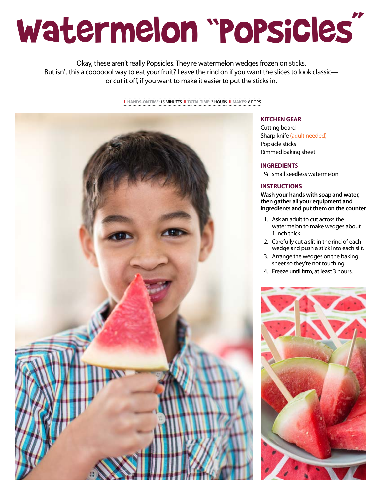# Watermelon "Popsicles"

Okay, these aren't really Popsicles. They're watermelon wedges frozen on sticks. But isn't this a cooooool way to eat your fruit? Leave the rind on if you want the slices to look classic or cut it off, if you want to make it easier to put the sticks in.

❚ **HANDS-ON TIME:** 15 MINUTES❚ **TOTAL TIME:** 3 HOURS❚ **MAKES:** 8 POPS



#### **KITCHEN GEAR**

Cutting board Sharp knife (adult needed) Popsicle sticks Rimmed baking sheet

#### **INGREDIENTS**

1/4 small seedless watermelon

#### **INSTRUCTIONS**

**Wash your hands with soap and water, then gather all your equipment and ingredients and put them on the counter.**

- 1. Ask an adult to cut across the watermelon to make wedges about 1 inch thick.
- 2. Carefully cut a slit in the rind of each wedge and push a stick into each slit.
- 3. Arrange the wedges on the baking sheet so they're not touching.
- 4. Freeze until firm, at least 3 hours.

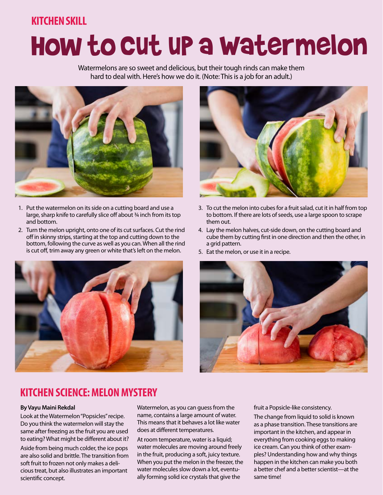### **KITCHEN SKILL**

## How to Cut up a Watermelon

Watermelons are so sweet and delicious, but their tough rinds can make them hard to deal with. Here's how we do it. (Note: This is a job for an adult.)



- 1. Put the watermelon on its side on a cutting board and use a large, sharp knife to carefully slice off about 34 inch from its top and bottom.
- 2. Turn the melon upright, onto one of its cut surfaces. Cut the rind off in skinny strips, starting at the top and cutting down to the bottom, following the curve as well as you can. When all the rind is cut off, trim away any green or white that's left on the melon.





- 3. To cut the melon into cubes for a fruit salad, cut it in half from top to bottom. If there are lots of seeds, use a large spoon to scrape them out.
- 4. Lay the melon halves, cut-side down, on the cutting board and cube them by cutting first in one direction and then the other, in a grid pattern.
- 5. Eat the melon, or use it in a recipe.



### **KITCHEN SCIENCE: MELON MYSTERY**

#### **By Vayu Maini Rekdal**

Look at the Watermelon "Popsicles" recipe. Do you think the watermelon will stay the same after freezing as the fruit you are used to eating? What might be different about it?

Aside from being much colder, the ice pops are also solid and brittle. The transition from soft fruit to frozen not only makes a delicious treat, but also illustrates an important scientific concept.

Watermelon, as you can guess from the name, contains a large amount of water. This means that it behaves a lot like water does at different temperatures.

At room temperature, water is a liquid; water molecules are moving around freely in the fruit, producing a soft, juicy texture. When you put the melon in the freezer, the water molecules slow down a lot, eventually forming solid ice crystals that give the

fruit a Popsicle-like consistency.

The change from liquid to solid is known as a phase transition. These transitions are important in the kitchen, and appear in everything from cooking eggs to making ice cream. Can you think of other examples? Understanding how and why things happen in the kitchen can make you both a better chef and a better scientist—at the same time!